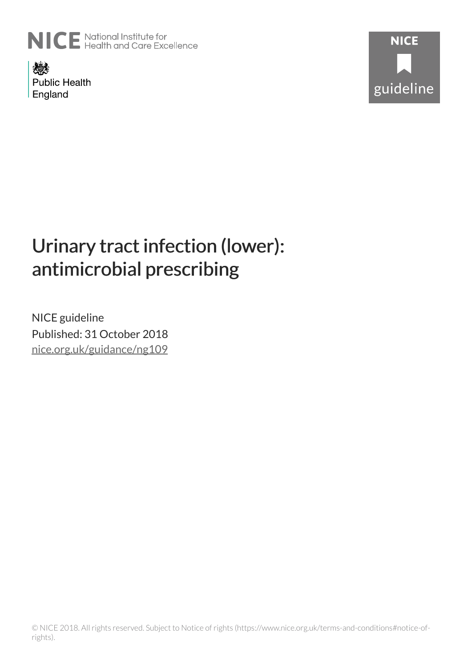

燃 **Public Health** England



# Urinary tract infection (lower): antimicrobial prescribing

NICE guideline Published: 31 October 2018 [nice.org.uk/guidance/ng109](http://nice.org.uk/guidance/ng109)

© NICE 2018. All rights reserved. Subject to Notice of rights (https://www.nice.org.uk/terms-and-conditions#notice-ofrights).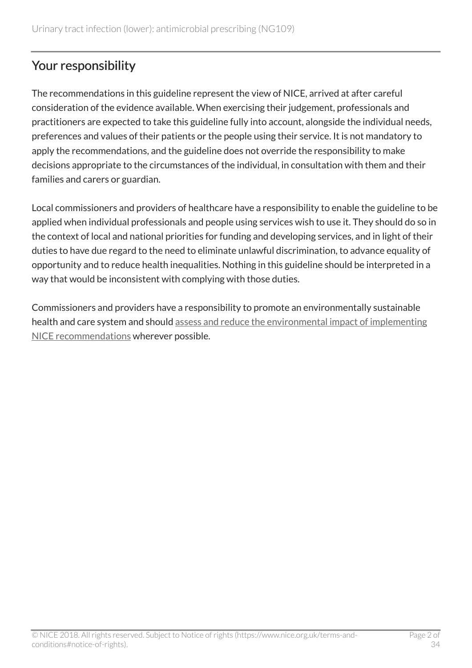# Your responsibility

The recommendations in this guideline represent the view of NICE, arrived at after careful consideration of the evidence available. When exercising their judgement, professionals and practitioners are expected to take this guideline fully into account, alongside the individual needs, preferences and values of their patients or the people using their service. It is not mandatory to apply the recommendations, and the guideline does not override the responsibility to make decisions appropriate to the circumstances of the individual, in consultation with them and their families and carers or guardian.

Local commissioners and providers of healthcare have a responsibility to enable the guideline to be applied when individual professionals and people using services wish to use it. They should do so in the context of local and national priorities for funding and developing services, and in light of their duties to have due regard to the need to eliminate unlawful discrimination, to advance equality of opportunity and to reduce health inequalities. Nothing in this guideline should be interpreted in a way that would be inconsistent with complying with those duties.

Commissioners and providers have a responsibility to promote an environmentally sustainable health and care system and should [assess and reduce the environmental impact of implementing](https://www.nice.org.uk/about/who-we-are/sustainability) [NICE recommendations](https://www.nice.org.uk/about/who-we-are/sustainability) wherever possible.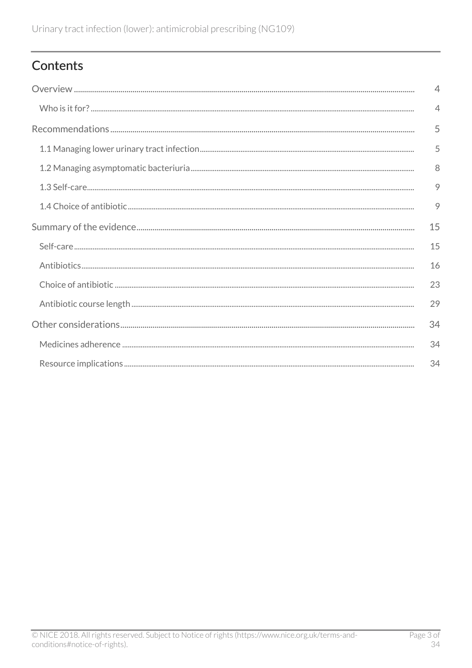# Contents

| $\overline{4}$           |
|--------------------------|
| $\overline{\mathcal{A}}$ |
| 5                        |
| 5                        |
| 8                        |
| 9                        |
| 9                        |
| 15                       |
| 15                       |
| 16                       |
| 23                       |
| 29                       |
| 34                       |
| 34                       |
| 34                       |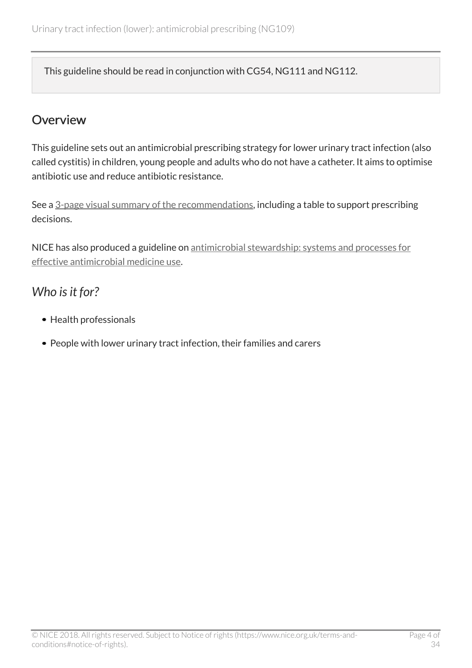This guideline should be read in conjunction with CG54, NG111 and NG112.

## <span id="page-3-0"></span>Overview

This guideline sets out an antimicrobial prescribing strategy for lower urinary tract infection (also called cystitis) in children, young people and adults who do not have a catheter. It aims to optimise antibiotic use and reduce antibiotic resistance.

See a [3-page visual summary of the recommendations](https://www.nice.org.uk/guidance/ng109/resources/visual-summary-pdf-6544021069), including a table to support prescribing decisions.

NICE has also produced a guideline on [antimicrobial stewardship: systems and processes for](http://www.nice.org.uk/guidance/ng15) [effective antimicrobial medicine use](http://www.nice.org.uk/guidance/ng15).

# <span id="page-3-1"></span>*Who is it for?*

- Health professionals
- People with lower urinary tract infection, their families and carers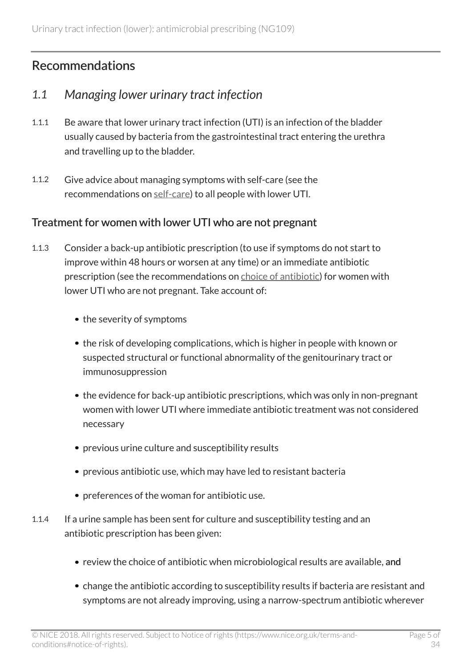# <span id="page-4-0"></span>Recommendations

### <span id="page-4-1"></span>*1.1 Managing lower urinary tract infection*

- 1.1.1 Be aware that lower urinary tract infection (UTI) is an infection of the bladder usually caused by bacteria from the gastrointestinal tract entering the urethra and travelling up to the bladder.
- 1.1.2 Give advice about managing symptoms with self-care (see the recommendations on [self-care\)](http://live-publications.nice.org.uk/recommendations#self-care) to all people with lower UTI.

### Treatment for women with lower UTI who are not pregnant

- 1.1.3 Consider a back-up antibiotic prescription (to use if symptoms do not start to improve within 48 hours or worsen at any time) or an immediate antibiotic prescription (see the recommendations on [choice of antibiotic](http://live-publications.nice.org.uk/recommendations#choice-of-antibiotic)) for women with lower UTI who are not pregnant. Take account of:
	- the severity of symptoms
	- the risk of developing complications, which is higher in people with known or suspected structural or functional abnormality of the genitourinary tract or immunosuppression
	- the evidence for back-up antibiotic prescriptions, which was only in non-pregnant women with lower UTI where immediate antibiotic treatment was not considered necessary
	- previous urine culture and susceptibility results
	- previous antibiotic use, which may have led to resistant bacteria
	- preferences of the woman for antibiotic use.
- 1.1.4 If a urine sample has been sent for culture and susceptibility testing and an antibiotic prescription has been given:
	- review the choice of antibiotic when microbiological results are available, and
	- change the antibiotic according to susceptibility results if bacteria are resistant and symptoms are not already improving, using a narrow-spectrum antibiotic wherever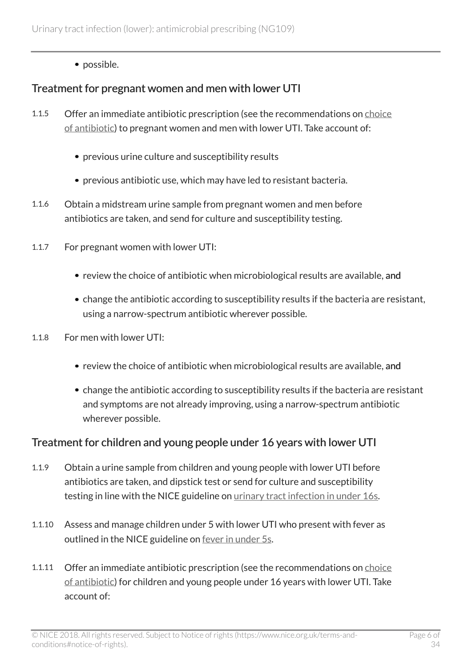• possible.

### Treatment for pregnant women and men with lower UTI

- 1.1.5 Offer an immediate antibiotic prescription (see the recommendations on [choice](http://live-publications.nice.org.uk/recommendations#choice-of-antibiotic) [of antibiotic](http://live-publications.nice.org.uk/recommendations#choice-of-antibiotic)) to pregnant women and men with lower UTI. Take account of:
	- previous urine culture and susceptibility results
	- previous antibiotic use, which may have led to resistant bacteria.
- 1.1.6 Obtain a midstream urine sample from pregnant women and men before antibiotics are taken, and send for culture and susceptibility testing.
- 1.1.7 For pregnant women with lower UTI:
	- review the choice of antibiotic when microbiological results are available, and
	- change the antibiotic according to susceptibility results if the bacteria are resistant, using a narrow-spectrum antibiotic wherever possible.
- 1.1.8 For men with lower UTI:
	- review the choice of antibiotic when microbiological results are available, and
	- change the antibiotic according to susceptibility results if the bacteria are resistant and symptoms are not already improving, using a narrow-spectrum antibiotic wherever possible.

#### Treatment for children and young people under 16 years with lower UTI

- 1.1.9 Obtain a urine sample from children and young people with lower UTI before antibiotics are taken, and dipstick test or send for culture and susceptibility testing in line with the NICE guideline on *urinary tract infection in under 16s*.
- 1.1.10 Assess and manage children under 5 with lower UTI who present with fever as outlined in the NICE guideline on <u>fever in under 5s</u>.
- 1.1.11 Offer an immediate antibiotic prescription (see the recommendations on [choice](http://live-publications.nice.org.uk/recommendations#choice-of-antibiotic) [of antibiotic](http://live-publications.nice.org.uk/recommendations#choice-of-antibiotic)) for children and young people under 16 years with lower UTI. Take account of: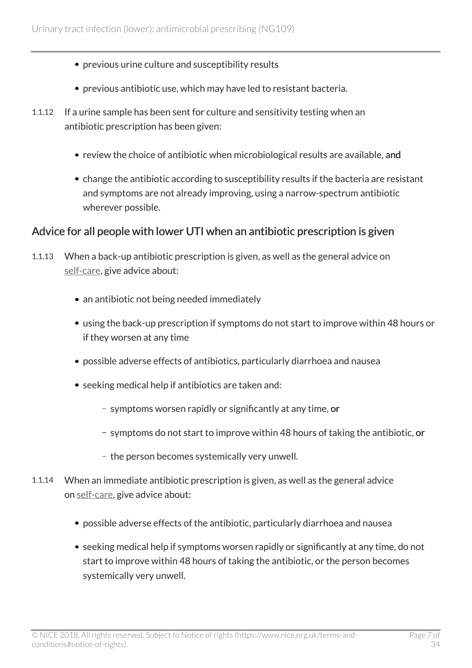- previous urine culture and susceptibility results
- previous antibiotic use, which may have led to resistant bacteria.
- 1.1.12 If a urine sample has been sent for culture and sensitivity testing when an antibiotic prescription has been given:
	- review the choice of antibiotic when microbiological results are available, and
	- change the antibiotic according to susceptibility results if the bacteria are resistant and symptoms are not already improving, using a narrow-spectrum antibiotic wherever possible.

### Advice for all people with lower UTI when an antibiotic prescription is given

- 1.1.13 When a back-up antibiotic prescription is given, as well as the general advice on [self-care,](http://live-publications.nice.org.uk/recommendations#self-care) give advice about:
	- an antibiotic not being needed immediately
	- using the back-up prescription if symptoms do not start to improve within 48 hours or if they worsen at any time
	- possible adverse effects of antibiotics, particularly diarrhoea and nausea
	- seeking medical help if antibiotics are taken and:
		- symptoms worsen rapidly or significantly at any time, or
		- symptoms do not start to improve within 48 hours of taking the antibiotic, or
		- the person becomes systemically very unwell.
- 1.1.14 When an immediate antibiotic prescription is given, as well as the general advice on [self-care](http://live-publications.nice.org.uk/recommendations#self-care), give advice about:
	- possible adverse effects of the antibiotic, particularly diarrhoea and nausea
	- seeking medical help if symptoms worsen rapidly or significantly at any time, do not start to improve within 48 hours of taking the antibiotic, or the person becomes systemically very unwell.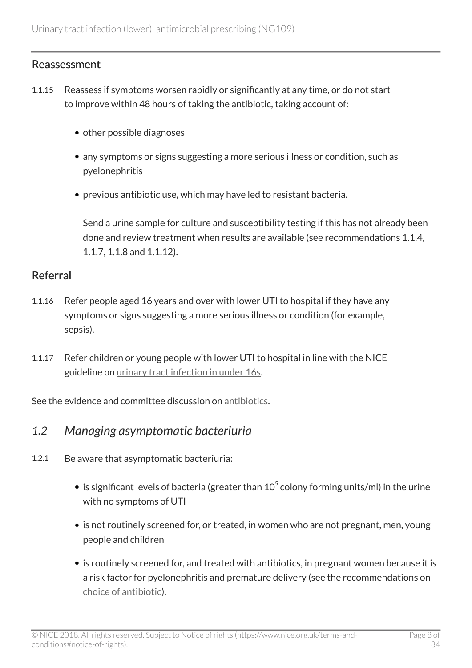### Reassessment

- 1.1.15 Reassess if symptoms worsen rapidly or significantly at any time, or do not start to improve within 48 hours of taking the antibiotic, taking account of:
	- other possible diagnoses
	- any symptoms or signs suggesting a more serious illness or condition, such as pyelonephritis
	- previous antibiotic use, which may have led to resistant bacteria.

Send a urine sample for culture and susceptibility testing if this has not already been done and review treatment when results are available (see recommendations 1.1.4, 1.1.7, 1.1.8 and 1.1.12).

### Referral

- 1.1.16 Refer people aged 16 years and over with lower UTI to hospital if they have any symptoms or signs suggesting a more serious illness or condition (for example, sepsis).
- 1.1.17 Refer children or young people with lower UTI to hospital in line with the NICE guideline on [urinary tract infection in under 16s.](http://www.nice.org.uk/guidance/cg54)

See the evidence and committee discussion on [antibiotics](http://live-publications.nice.org.uk/summary-of-the-evidence#antibiotics).

### <span id="page-7-0"></span>*1.2 Managing asymptomatic bacteriuria*

- 1.2.1 Be aware that asymptomatic bacteriuria:
	- is significant levels of bacteria (greater than  $10^5$  colony forming units/ml) in the urine with no symptoms of UTI
	- is not routinely screened for, or treated, in women who are not pregnant, men, young people and children
	- is routinely screened for, and treated with antibiotics, in pregnant women because it is a risk factor for pyelonephritis and premature delivery (see the recommendations on [choice of antibiotic\)](http://live-publications.nice.org.uk/recommendations#choice-of-antibiotic).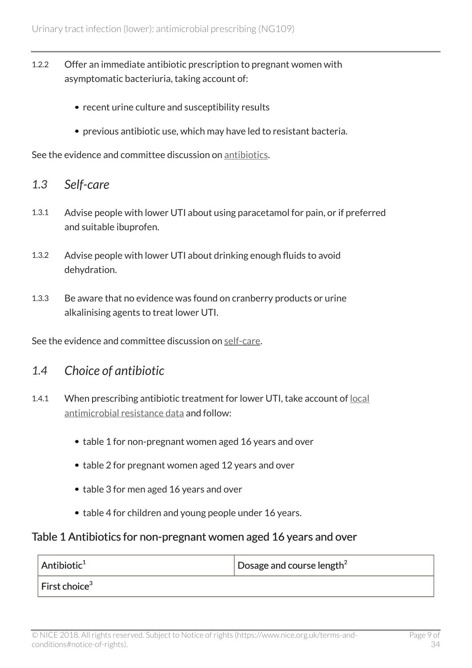- 1.2.2 Offer an immediate antibiotic prescription to pregnant women with asymptomatic bacteriuria, taking account of:
	- recent urine culture and susceptibility results
	- previous antibiotic use, which may have led to resistant bacteria.

See the evidence and committee discussion on [antibiotics](http://live-publications.nice.org.uk/summary-of-the-evidence#antibiotics).

### <span id="page-8-0"></span>*1.3 Self-care*

- 1.3.1 Advise people with lower UTI about using paracetamol for pain, or if preferred and suitable ibuprofen.
- 1.3.2 Advise people with lower UTI about drinking enough fluids to avoid dehydration.
- 1.3.3 Be aware that no evidence was found on cranberry products or urine alkalinising agents to treat lower UTI.

See the evidence and committee discussion on [self-care.](http://live-publications.nice.org.uk/summary-of-the-evidence#self-care-2)

### <span id="page-8-1"></span>*1.4 Choice of antibiotic*

- 1.4.1 When prescribing antibiotic treatment for lower UTI, take account of [local](https://fingertips.phe.org.uk/profile/amr-local-indicators) [antimicrobial resistance data](https://fingertips.phe.org.uk/profile/amr-local-indicators) and follow:
	- table 1 for non-pregnant women aged 16 years and over
	- table 2 for pregnant women aged 12 years and over
	- table 3 for men aged 16 years and over
	- table 4 for children and young people under 16 years.

#### Table 1 Antibiotics for non-pregnant women aged 16 years and over

| $ $ Antibiotic <sup>1</sup> | Dosage and course length <sup>2</sup> |
|-----------------------------|---------------------------------------|
| First choice <sup>3</sup>   |                                       |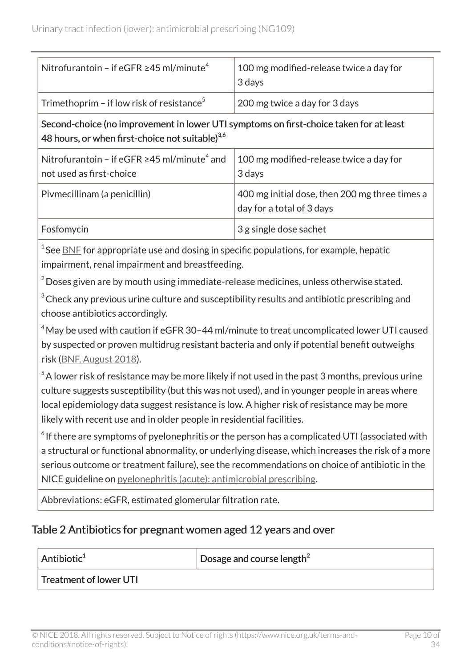| Nitrofurantoin – if eGFR $\geq$ 45 ml/minute <sup>4</sup>                                                                                             | 100 mg modified-release twice a day for<br>3 days                           |  |
|-------------------------------------------------------------------------------------------------------------------------------------------------------|-----------------------------------------------------------------------------|--|
| Trimethoprim – if low risk of resistance <sup>5</sup>                                                                                                 | 200 mg twice a day for 3 days                                               |  |
| Second-choice (no improvement in lower UTI symptoms on first-choice taken for at least<br>48 hours, or when first-choice not suitable) <sup>3,6</sup> |                                                                             |  |
| Nitrofurantoin – if eGFR $\geq$ 45 ml/minute <sup>4</sup> and<br>not used as first-choice                                                             | 100 mg modified-release twice a day for<br>3 days                           |  |
| Pivmecillinam (a penicillin)                                                                                                                          | 400 mg initial dose, then 200 mg three times a<br>day for a total of 3 days |  |
| Fosfomycin                                                                                                                                            | 3 g single dose sachet                                                      |  |
|                                                                                                                                                       |                                                                             |  |

 $^{\rm 1}$ See <u>[BNF](https://bnf.nice.org.uk/)</u> for appropriate use and dosing in specific populations, for example, hepatic impairment, renal impairment and breastfeeding.

 $2^2$  Doses given are by mouth using immediate-release medicines, unless otherwise stated.

 $3$  Check any previous urine culture and susceptibility results and antibiotic prescribing and choose antibiotics accordingly.

<sup>4</sup> May be used with caution if eGFR 30-44 ml/minute to treat uncomplicated lower UTI caused by suspected or proven multidrug resistant bacteria and only if potential benefit outweighs risk [\(BNF, August 2018](https://bnf.nice.org.uk/drug/nitrofurantoin.html)).

 $5$ A lower risk of resistance may be more likely if not used in the past 3 months, previous urine culture suggests susceptibility (but this was not used), and in younger people in areas where local epidemiology data suggest resistance is low. A higher risk of resistance may be more likely with recent use and in older people in residential facilities.

 $^{\circ}$  If there are symptoms of pyelonephritis or the person has a complicated UTI (associated with a structural or functional abnormality, or underlying disease, which increases the risk of a more serious outcome or treatment failure), see the recommendations on choice of antibiotic in the NICE guideline on [pyelonephritis \(acute\): antimicrobial prescribing](http://www.nice.org.uk/guidance/ng111).

Abbreviations: eGFR, estimated glomerular filtration rate.

### Table 2 Antibiotics for pregnant women aged 12 years and over

Antibiotic<sup>1</sup>  $\log^2$  Dosage and course length<sup>2</sup>

Treatment of lower UTI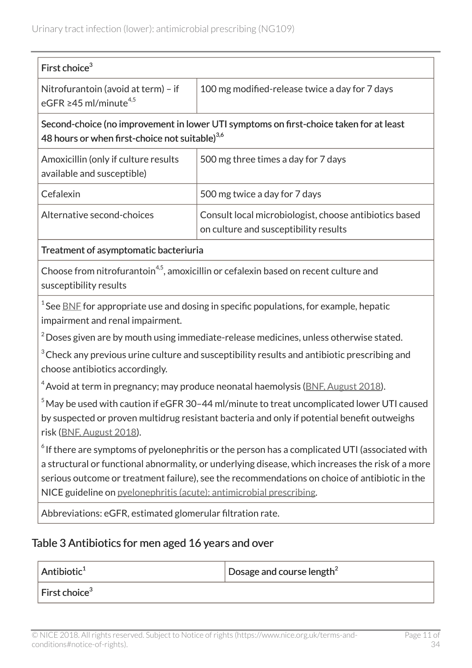| First choice <sup>3</sup>                                                                                                                                                                                                                                                                                                                                                            |                                                                                                 |  |
|--------------------------------------------------------------------------------------------------------------------------------------------------------------------------------------------------------------------------------------------------------------------------------------------------------------------------------------------------------------------------------------|-------------------------------------------------------------------------------------------------|--|
| Nitrofurantoin (avoid at term) - if<br>eGFR $\geq$ 45 ml/minute <sup>4,5</sup>                                                                                                                                                                                                                                                                                                       | 100 mg modified-release twice a day for 7 days                                                  |  |
| Second-choice (no improvement in lower UTI symptoms on first-choice taken for at least<br>48 hours or when first-choice not suitable) <sup>3,6</sup>                                                                                                                                                                                                                                 |                                                                                                 |  |
| Amoxicillin (only if culture results<br>available and susceptible)                                                                                                                                                                                                                                                                                                                   | 500 mg three times a day for 7 days                                                             |  |
| Cefalexin                                                                                                                                                                                                                                                                                                                                                                            | 500 mg twice a day for 7 days                                                                   |  |
| Alternative second-choices                                                                                                                                                                                                                                                                                                                                                           | Consult local microbiologist, choose antibiotics based<br>on culture and susceptibility results |  |
| Treatment of asymptomatic bacteriuria                                                                                                                                                                                                                                                                                                                                                |                                                                                                 |  |
| Choose from nitrofurantoin <sup>4,5</sup> , amoxicillin or cefalexin based on recent culture and<br>susceptibility results                                                                                                                                                                                                                                                           |                                                                                                 |  |
| $1$ See BNF for appropriate use and dosing in specific populations, for example, hepatic<br>impairment and renal impairment.                                                                                                                                                                                                                                                         |                                                                                                 |  |
| $2$ Doses given are by mouth using immediate-release medicines, unless otherwise stated.                                                                                                                                                                                                                                                                                             |                                                                                                 |  |
| $3$ Check any previous urine culture and susceptibility results and antibiotic prescribing and<br>choose antibiotics accordingly.                                                                                                                                                                                                                                                    |                                                                                                 |  |
|                                                                                                                                                                                                                                                                                                                                                                                      | $4$ Avoid at term in pregnancy; may produce neonatal haemolysis (BNF, August 2018).             |  |
| $5$ May be used with caution if eGFR 30-44 ml/minute to treat uncomplicated lower UTI caused<br>by suspected or proven multidrug resistant bacteria and only if potential benefit outweighs<br>risk (BNF, August 2018).                                                                                                                                                              |                                                                                                 |  |
| $\degree$ If there are symptoms of pyelonephritis or the person has a complicated UTI (associated with<br>a structural or functional abnormality, or underlying disease, which increases the risk of a more<br>serious outcome or treatment failure), see the recommendations on choice of antibiotic in the<br>NICE guideline on pyelonephritis (acute): antimicrobial prescribing. |                                                                                                 |  |
| Abbreviations: eGFR, estimated glomerular filtration rate.                                                                                                                                                                                                                                                                                                                           |                                                                                                 |  |
| Table 3 Antibiotics for men aged 16 years and over                                                                                                                                                                                                                                                                                                                                   |                                                                                                 |  |
|                                                                                                                                                                                                                                                                                                                                                                                      |                                                                                                 |  |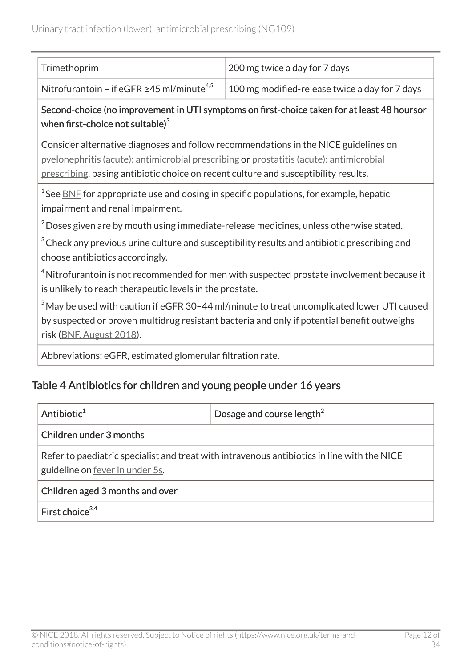| Trimethoprim                                                | 200 mg twice a day for 7 days                  |
|-------------------------------------------------------------|------------------------------------------------|
| Nitrofurantoin - if eGFR $\geq$ 45 ml/minute <sup>4,5</sup> | 100 mg modified-release twice a day for 7 days |

Second-choice (no improvement in UTI symptoms on first-choice taken for at least 48 hoursor when first-choice not suitable) $^{\rm 3}$ 

Consider alternative diagnoses and follow recommendations in the NICE guidelines on [pyelonephritis \(acute\): antimicrobial prescribing](http://www.nice.org.uk/guidance/ng111) or [prostatitis \(acute\): antimicrobial](http://www.nice.org.uk/guidance/ng110) [prescribing](http://www.nice.org.uk/guidance/ng110), basing antibiotic choice on recent culture and susceptibility results.

 $^{\rm 1}$ See <u>[BNF](https://bnf.nice.org.uk/)</u> for appropriate use and dosing in specific populations, for example, hepatic impairment and renal impairment.

 $2$  Doses given are by mouth using immediate-release medicines, unless otherwise stated.

 $3$ Check any previous urine culture and susceptibility results and antibiotic prescribing and choose antibiotics accordingly.

 $4$ Nitrofurantoin is not recommended for men with suspected prostate involvement because it is unlikely to reach therapeutic levels in the prostate.

 $5$ May be used with caution if eGFR 30-44 ml/minute to treat uncomplicated lower UTI caused by suspected or proven multidrug resistant bacteria and only if potential benefit outweighs risk [\(BNF, August 2018](https://bnf.nice.org.uk/drug/nitrofurantoin.html)).

Abbreviations: eGFR, estimated glomerular filtration rate.

### Table 4 Antibiotics for children and young people under 16 years

| Antibiotic <sup>1</sup>                                                                                                                | Dosage and course length <sup>2</sup> |  |
|----------------------------------------------------------------------------------------------------------------------------------------|---------------------------------------|--|
| Children under 3 months                                                                                                                |                                       |  |
| Refer to paediatric specialist and treat with intravenous antibiotics in line with the NICE<br>guideline on <u>fever in under 5s</u> . |                                       |  |
| Children aged 3 months and over                                                                                                        |                                       |  |
| First choice <sup>3,4</sup>                                                                                                            |                                       |  |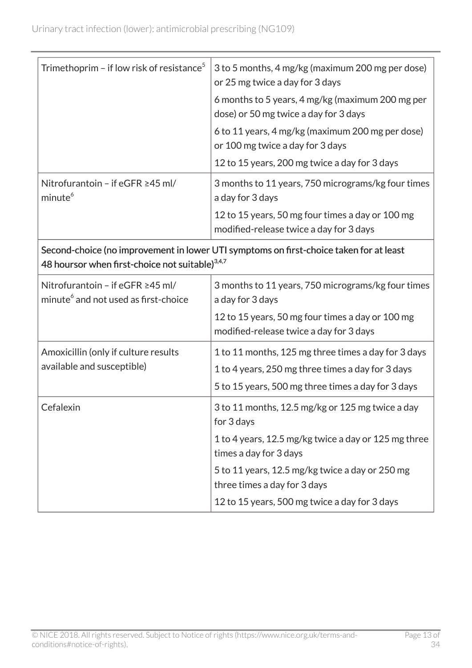| Trimethoprim - if low risk of resistance <sup>5</sup>                                                                                                 | 3 to 5 months, 4 mg/kg (maximum 200 mg per dose)<br>or 25 mg twice a day for 3 days         |  |
|-------------------------------------------------------------------------------------------------------------------------------------------------------|---------------------------------------------------------------------------------------------|--|
|                                                                                                                                                       | 6 months to 5 years, 4 mg/kg (maximum 200 mg per<br>dose) or 50 mg twice a day for 3 days   |  |
|                                                                                                                                                       | 6 to 11 years, 4 mg/kg (maximum 200 mg per dose)<br>or 100 mg twice a day for 3 days        |  |
|                                                                                                                                                       | 12 to 15 years, 200 mg twice a day for 3 days                                               |  |
| Nitrofurantoin - if eGFR ≥45 ml/<br>minute <sup>6</sup>                                                                                               | 3 months to 11 years, 750 micrograms/kg four times<br>a day for 3 days                      |  |
|                                                                                                                                                       | 12 to 15 years, 50 mg four times a day or 100 mg<br>modified-release twice a day for 3 days |  |
| Second-choice (no improvement in lower UTI symptoms on first-choice taken for at least<br>48 hoursor when first-choice not suitable) <sup>3,4,7</sup> |                                                                                             |  |
| Nitrofurantoin - if eGFR ≥45 ml/<br>minute <sup>6</sup> and not used as first-choice                                                                  | 3 months to 11 years, 750 micrograms/kg four times<br>a day for 3 days                      |  |
|                                                                                                                                                       | 12 to 15 years, 50 mg four times a day or 100 mg<br>modified-release twice a day for 3 days |  |
| Amoxicillin (only if culture results                                                                                                                  | 1 to 11 months, 125 mg three times a day for 3 days                                         |  |
| available and susceptible)                                                                                                                            | 1 to 4 years, 250 mg three times a day for 3 days                                           |  |
|                                                                                                                                                       | 5 to 15 years, 500 mg three times a day for 3 days                                          |  |
| Cefalexin                                                                                                                                             | 3 to 11 months, 12.5 mg/kg or 125 mg twice a day<br>for 3 days                              |  |
|                                                                                                                                                       | 1 to 4 years, 12.5 mg/kg twice a day or 125 mg three<br>times a day for 3 days              |  |
|                                                                                                                                                       | 5 to 11 years, 12.5 mg/kg twice a day or 250 mg<br>three times a day for 3 days             |  |
|                                                                                                                                                       | 12 to 15 years, 500 mg twice a day for 3 days                                               |  |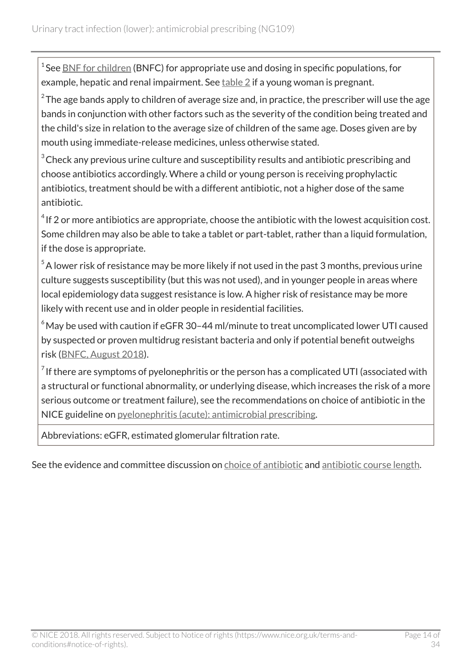<sup>1</sup> See <u>[BNF for children](https://bnfc.nice.org.uk/)</u> (BNFC) for appropriate use and dosing in specific populations, for example, hepatic and renal impairment. See  $table 2$  $table 2$  if a young woman is pregnant.

 $^{\rm 2}$ The age bands apply to children of average size and, in practice, the prescriber will use the age bands in conjunction with other factors such as the severity of the condition being treated and the child's size in relation to the average size of children of the same age. Doses given are by mouth using immediate-release medicines, unless otherwise stated.

 $3$  Check any previous urine culture and susceptibility results and antibiotic prescribing and choose antibiotics accordingly. Where a child or young person is receiving prophylactic antibiotics, treatment should be with a different antibiotic, not a higher dose of the same antibiotic.

 $^4$  If 2 or more antibiotics are appropriate, choose the antibiotic with the lowest acquisition cost. Some children may also be able to take a tablet or part-tablet, rather than a liquid formulation, if the dose is appropriate.

 $5$ A lower risk of resistance may be more likely if not used in the past 3 months, previous urine culture suggests susceptibility (but this was not used), and in younger people in areas where local epidemiology data suggest resistance is low. A higher risk of resistance may be more likely with recent use and in older people in residential facilities.

 $6$ May be used with caution if eGFR 30-44 ml/minute to treat uncomplicated lower UTI caused by suspected or proven multidrug resistant bacteria and only if potential benefit outweighs risk [\(BNFC, August 2018\)](https://bnfc.nice.org.uk/drug/nitrofurantoin.html).

 $^7$  If there are symptoms of pyelonephritis or the person has a complicated UTI (associated with a structural or functional abnormality, or underlying disease, which increases the risk of a more serious outcome or treatment failure), see the recommendations on choice of antibiotic in the NICE guideline on [pyelonephritis \(acute\): antimicrobial prescribing](http://www.nice.org.uk/guidance/ng111).

Abbreviations: eGFR, estimated glomerular filtration rate.

See the evidence and committee discussion on [choice of antibiotic](http://live-publications.nice.org.uk/summary-of-the-evidence#choice-of-antibiotic-2) and [antibiotic course length](http://live-publications.nice.org.uk/summary-of-the-evidence#antibiotic-course-length).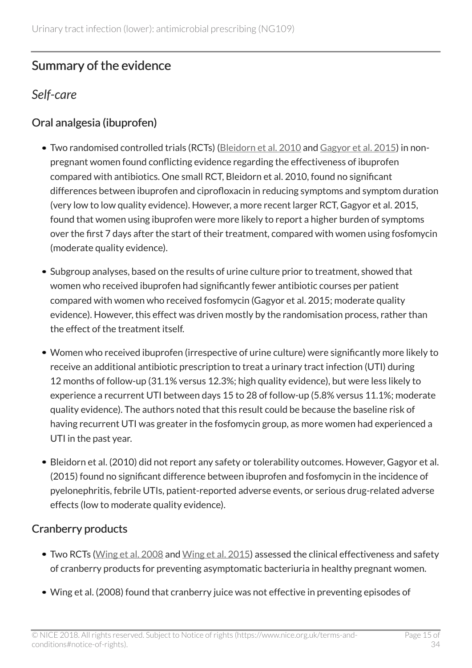# <span id="page-14-0"></span>Summary of the evidence

### <span id="page-14-1"></span>*Self-care*

### Oral analgesia (ibuprofen)

- Two randomised controlled trials (RCTs) ([Bleidorn et al. 2010](https://bmcmedicine.biomedcentral.com/articles/10.1186/1741-7015-8-30) and [Gagyor et al. 2015\)](https://www.ncbi.nlm.nih.gov/pubmed/26698878) in nonpregnant women found conflicting evidence regarding the effectiveness of ibuprofen compared with antibiotics. One small RCT, Bleidorn et al. 2010, found no significant differences between ibuprofen and ciprofloxacin in reducing symptoms and symptom duration (very low to low quality evidence). However, a more recent larger RCT, Gagyor et al. 2015, found that women using ibuprofen were more likely to report a higher burden of symptoms over the first 7 days after the start of their treatment, compared with women using fosfomycin (moderate quality evidence).
- Subgroup analyses, based on the results of urine culture prior to treatment, showed that women who received ibuprofen had significantly fewer antibiotic courses per patient compared with women who received fosfomycin (Gagyor et al. 2015; moderate quality evidence). However, this effect was driven mostly by the randomisation process, rather than the effect of the treatment itself.
- Women who received ibuprofen (irrespective of urine culture) were significantly more likely to receive an additional antibiotic prescription to treat a urinary tract infection (UTI) during 12 months of follow-up (31.1% versus 12.3%; high quality evidence), but were less likely to experience a recurrent UTI between days 15 to 28 of follow-up (5.8% versus 11.1%; moderate quality evidence). The authors noted that this result could be because the baseline risk of having recurrent UTI was greater in the fosfomycin group, as more women had experienced a UTI in the past year.
- Bleidorn et al. (2010) did not report any safety or tolerability outcomes. However, Gagyor et al. (2015) found no significant difference between ibuprofen and fosfomycin in the incidence of pyelonephritis, febrile UTIs, patient-reported adverse events, or serious drug-related adverse effects (low to moderate quality evidence).

### Cranberry products

- Two RCTs ([Wing et al. 2008](https://www.ncbi.nlm.nih.gov/pubmed/18707726) and [Wing et al. 2015](https://www.ncbi.nlm.nih.gov/pubmed/?term=Pilot+Study+to+Evaluate+Compliance+and+Tolerability+of+Cranberry+Capsules+in+Pregnancy+for+the+Prevention+of+Asymptomatic+Bacteriuria)) assessed the clinical effectiveness and safety of cranberry products for preventing asymptomatic bacteriuria in healthy pregnant women.
- Wing et al. (2008) found that cranberry juice was not effective in preventing episodes of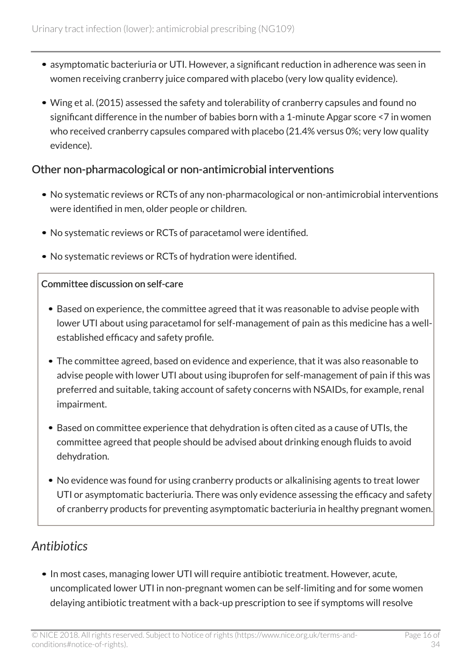- asymptomatic bacteriuria or UTI. However, a significant reduction in adherence was seen in women receiving cranberry juice compared with placebo (very low quality evidence).
- Wing et al. (2015) assessed the safety and tolerability of cranberry capsules and found no significant difference in the number of babies born with a 1-minute Apgar score <7 in women who received cranberry capsules compared with placebo (21.4% versus 0%; very low quality evidence).

### Other non-pharmacological or non-antimicrobial interventions

- No systematic reviews or RCTs of any non-pharmacological or non-antimicrobial interventions were identified in men, older people or children.
- No systematic reviews or RCTs of paracetamol were identified.
- No systematic reviews or RCTs of hydration were identified.

### Committee discussion on self-care

- Based on experience, the committee agreed that it was reasonable to advise people with lower UTI about using paracetamol for self-management of pain as this medicine has a wellestablished efficacy and safety profile.
- The committee agreed, based on evidence and experience, that it was also reasonable to advise people with lower UTI about using ibuprofen for self-management of pain if this was preferred and suitable, taking account of safety concerns with NSAIDs, for example, renal impairment.
- Based on committee experience that dehydration is often cited as a cause of UTIs, the committee agreed that people should be advised about drinking enough fluids to avoid dehydration.
- No evidence was found for using cranberry products or alkalinising agents to treat lower UTI or asymptomatic bacteriuria. There was only evidence assessing the efficacy and safety of cranberry products for preventing asymptomatic bacteriuria in healthy pregnant women.

# <span id="page-15-0"></span>*Antibiotics*

• In most cases, managing lower UTI will require antibiotic treatment. However, acute, uncomplicated lower UTI in non-pregnant women can be self-limiting and for some women delaying antibiotic treatment with a back-up prescription to see if symptoms will resolve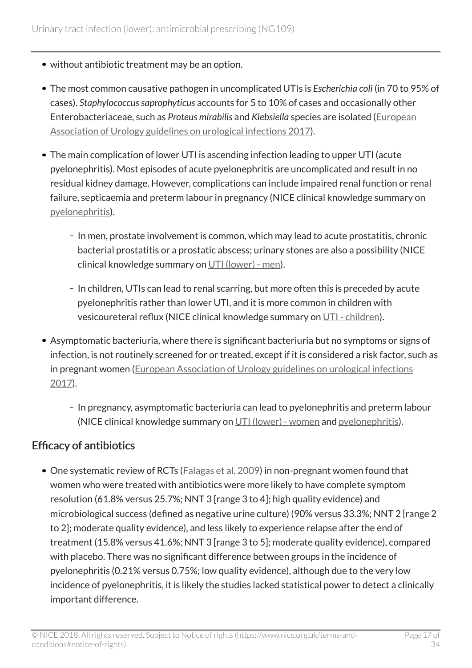- without antibiotic treatment may be an option.
- The most common causative pathogen in uncomplicated UTIs is *Escherichia coli* (in 70 to 95% of cases). *Staphylococcus saprophyticus* accounts for 5 to 10% of cases and occasionally other Enterobacteriaceae, such as *Proteus mirabilis* and *Klebsiella* species are isolated [\(European](http://uroweb.org/guideline/urological-infections/) [Association of Urology guidelines on urological infections 2017](http://uroweb.org/guideline/urological-infections/)).
- The main complication of lower UTI is ascending infection leading to upper UTI (acute pyelonephritis). Most episodes of acute pyelonephritis are uncomplicated and result in no residual kidney damage. However, complications can include impaired renal function or renal failure, septicaemia and preterm labour in pregnancy (NICE clinical knowledge summary on [pyelonephritis\)](https://cks.nice.org.uk/pyelonephritis-acute).
	- In men, prostate involvement is common, which may lead to acute prostatitis, chronic bacterial prostatitis or a prostatic abscess; urinary stones are also a possibility (NICE clinical knowledge summary on [UTI \(lower\) - men\)](https://cks.nice.org.uk/urinary-tract-infection-lower-men).
	- In children, UTIs can lead to renal scarring, but more often this is preceded by acute pyelonephritis rather than lower UTI, and it is more common in children with vesicoureteral reflux (NICE clinical knowledge summary on [UTI - children\)](https://cks.nice.org.uk/urinary-tract-infection-children).
- Asymptomatic bacteriuria, where there is significant bacteriuria but no symptoms or signs of infection, is not routinely screened for or treated, except if it is considered a risk factor, such as in pregnant women [\(European Association of Urology guidelines on urological infections](http://uroweb.org/guideline/urological-infections/) [2017](http://uroweb.org/guideline/urological-infections/)).
	- In pregnancy, asymptomatic bacteriuria can lead to pyelonephritis and preterm labour (NICE clinical knowledge summary on [UTI \(lower\) - women](https://cks.nice.org.uk/urinary-tract-infection-lower-women) and [pyelonephritis\)](https://cks.nice.org.uk/pyelonephritis-acute).

### Efficacy of antibiotics

• One systematic review of RCTs ([Falagas et al. 2009\)](https://www.ncbi.nlm.nih.gov/pubmed/?term=Antibiotics+versus+placebo+in+the+treatment+of+women+with+uncomplicated+cystitis%3A+A+meta-analysis+of+randomized+controlled+trials) in non-pregnant women found that women who were treated with antibiotics were more likely to have complete symptom resolution (61.8% versus 25.7%; NNT 3 [range 3 to 4]; high quality evidence) and microbiological success (defined as negative urine culture) (90% versus 33.3%; NNT 2 [range 2 to 2]; moderate quality evidence), and less likely to experience relapse after the end of treatment (15.8% versus 41.6%; NNT 3 [range 3 to 5]; moderate quality evidence), compared with placebo. There was no significant difference between groups in the incidence of pyelonephritis (0.21% versus 0.75%; low quality evidence), although due to the very low incidence of pyelonephritis, it is likely the studies lacked statistical power to detect a clinically important difference.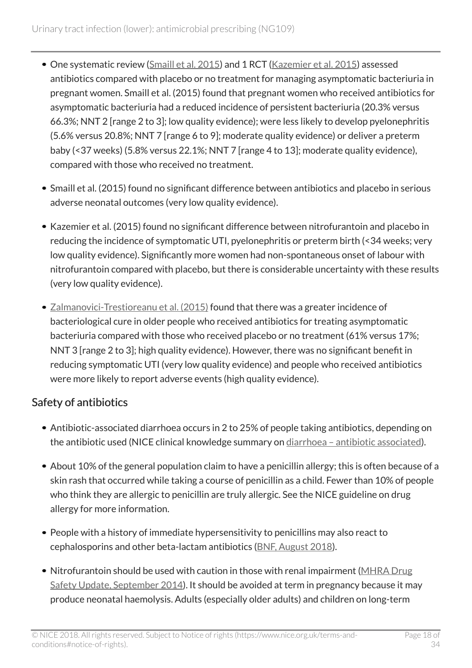- One systematic review [\(Smaill et al. 2015](https://www.ncbi.nlm.nih.gov/pubmed/26252501)) and 1 RCT ([Kazemier et al. 2015](https://www.ncbi.nlm.nih.gov/pubmed/26255208)) assessed antibiotics compared with placebo or no treatment for managing asymptomatic bacteriuria in pregnant women. Smaill et al. (2015) found that pregnant women who received antibiotics for asymptomatic bacteriuria had a reduced incidence of persistent bacteriuria (20.3% versus 66.3%; NNT 2 [range 2 to 3]; low quality evidence); were less likely to develop pyelonephritis (5.6% versus 20.8%; NNT 7 [range 6 to 9]; moderate quality evidence) or deliver a preterm baby (<37 weeks) (5.8% versus 22.1%; NNT 7 [range 4 to 13]; moderate quality evidence), compared with those who received no treatment.
- Smaill et al. (2015) found no significant difference between antibiotics and placebo in serious adverse neonatal outcomes (very low quality evidence).
- Kazemier et al. (2015) found no significant difference between nitrofurantoin and placebo in reducing the incidence of symptomatic UTI, pyelonephritis or preterm birth (<34 weeks; very low quality evidence). Significantly more women had non-spontaneous onset of labour with nitrofurantoin compared with placebo, but there is considerable uncertainty with these results (very low quality evidence).
- [Zalmanovici-Trestioreanu et al. \(2015\)](https://www.ncbi.nlm.nih.gov/pubmed/?term=Antibiotics+for+asymptomatic+bacteriuria+zalmanovici) found that there was a greater incidence of bacteriological cure in older people who received antibiotics for treating asymptomatic bacteriuria compared with those who received placebo or no treatment (61% versus 17%; NNT 3 [range 2 to 3]; high quality evidence). However, there was no significant benefit in reducing symptomatic UTI (very low quality evidence) and people who received antibiotics were more likely to report adverse events (high quality evidence).

### Safety of antibiotics

- Antibiotic-associated diarrhoea occurs in 2 to 25% of people taking antibiotics, depending on the antibiotic used (NICE clinical knowledge summary on diarrhoea - antibiotic associated).
- About 10% of the general population claim to have a penicillin allergy; this is often because of a skin rash that occurred while taking a course of penicillin as a child. Fewer than 10% of people who think they are allergic to penicillin are truly allergic. See the NICE guideline on drug allergy for more information.
- People with a history of immediate hypersensitivity to penicillins may also react to cephalosporins and other beta-lactam antibiotics [\(BNF, August 2018](https://bnf.nice.org.uk/drug/phenoxymethylpenicillin.html)).
- Nitrofurantoin should be used with caution in those with renal impairment [\(MHRA Drug](https://www.gov.uk/drug-safety-update/nitrofurantoin-now-contraindicated-in-most-patients-with-an-estimated-glomerular-filtration-rate-egfr-of-less-than-45-ml-min-1-73m2) [Safety Update, September 2014\)](https://www.gov.uk/drug-safety-update/nitrofurantoin-now-contraindicated-in-most-patients-with-an-estimated-glomerular-filtration-rate-egfr-of-less-than-45-ml-min-1-73m2). It should be avoided at term in pregnancy because it may produce neonatal haemolysis. Adults (especially older adults) and children on long-term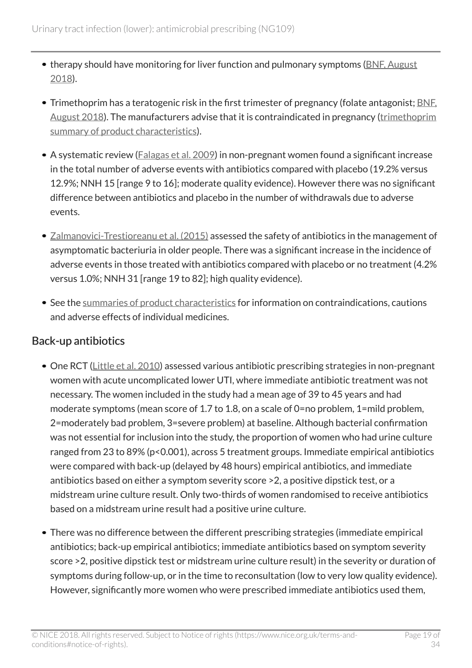- therapy should have monitoring for liver function and pulmonary symptoms ([BNF, August](https://bnf.nice.org.uk/drug/nitrofurantoin.html) [2018](https://bnf.nice.org.uk/drug/nitrofurantoin.html)).
- Trimethoprim has a teratogenic risk in the first trimester of pregnancy (folate antagonist; [BNF,](https://bnf.nice.org.uk/drug/trimethoprim.html) [August 2018\)](https://bnf.nice.org.uk/drug/trimethoprim.html). The manufacturers advise that it is contraindicated in pregnancy ([trimethoprim](https://www.medicines.org.uk/emc/product/5925) [summary of product characteristics](https://www.medicines.org.uk/emc/product/5925)).
- A systematic review [\(Falagas et al. 2009\)](https://www.ncbi.nlm.nih.gov/pubmed/?term=Antibiotics+versus+placebo+in+the+treatment+of+women+with+uncomplicated+cystitis%3A+A+meta-analysis+of+randomized+controlled+trials) in non-pregnant women found a significant increase in the total number of adverse events with antibiotics compared with placebo (19.2% versus 12.9%; NNH 15 [range 9 to 16]; moderate quality evidence). However there was no significant difference between antibiotics and placebo in the number of withdrawals due to adverse events.
- [Zalmanovici-Trestioreanu et al. \(2015\)](https://www.ncbi.nlm.nih.gov/pubmed/?term=Antibiotics+for+asymptomatic+bacteriuria+zalmanovici) assessed the safety of antibiotics in the management of asymptomatic bacteriuria in older people. There was a significant increase in the incidence of adverse events in those treated with antibiotics compared with placebo or no treatment (4.2% versus 1.0%; NNH 31 [range 19 to 82]; high quality evidence).
- See the [summaries of product characteristics](https://www.medicines.org.uk/emc/) for information on contraindications, cautions and adverse effects of individual medicines.

### Back-up antibiotics

- One RCT ([Little et al. 2010\)](https://www.ncbi.nlm.nih.gov/pubmed/20139214) assessed various antibiotic prescribing strategies in non-pregnant women with acute uncomplicated lower UTI, where immediate antibiotic treatment was not necessary. The women included in the study had a mean age of 39 to 45 years and had moderate symptoms (mean score of 1.7 to 1.8, on a scale of 0=no problem, 1=mild problem, 2=moderately bad problem, 3=severe problem) at baseline. Although bacterial confirmation was not essential for inclusion into the study, the proportion of women who had urine culture ranged from 23 to 89% (p<0.001), across 5 treatment groups. Immediate empirical antibiotics were compared with back-up (delayed by 48 hours) empirical antibiotics, and immediate antibiotics based on either a symptom severity score >2, a positive dipstick test, or a midstream urine culture result. Only two-thirds of women randomised to receive antibiotics based on a midstream urine result had a positive urine culture.
- There was no difference between the different prescribing strategies (immediate empirical antibiotics; back-up empirical antibiotics; immediate antibiotics based on symptom severity score >2, positive dipstick test or midstream urine culture result) in the severity or duration of symptoms during follow-up, or in the time to reconsultation (low to very low quality evidence). However, significantly more women who were prescribed immediate antibiotics used them,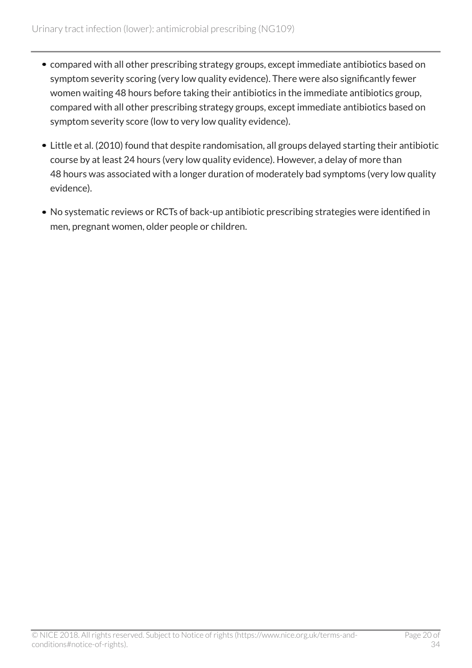- compared with all other prescribing strategy groups, except immediate antibiotics based on symptom severity scoring (very low quality evidence). There were also significantly fewer women waiting 48 hours before taking their antibiotics in the immediate antibiotics group, compared with all other prescribing strategy groups, except immediate antibiotics based on symptom severity score (low to very low quality evidence).
- Little et al. (2010) found that despite randomisation, all groups delayed starting their antibiotic course by at least 24 hours (very low quality evidence). However, a delay of more than 48 hours was associated with a longer duration of moderately bad symptoms (very low quality evidence).
- No systematic reviews or RCTs of back-up antibiotic prescribing strategies were identified in men, pregnant women, older people or children.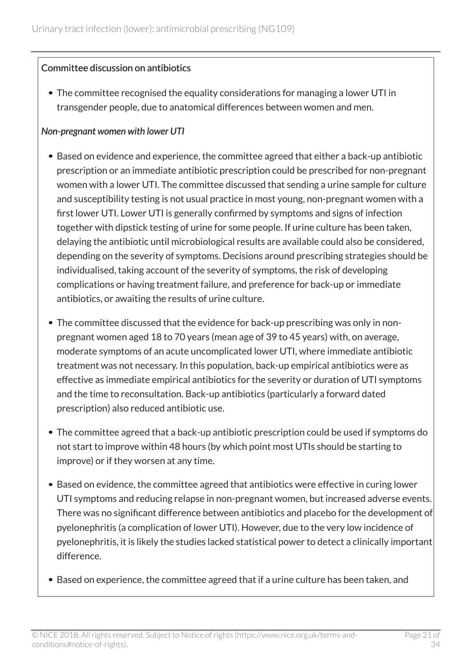#### Committee discussion on antibiotics

The committee recognised the equality considerations for managing a lower UTI in transgender people, due to anatomical differences between women and men.

#### *Non-pregnant women with lower UTI*

- Based on evidence and experience, the committee agreed that either a back-up antibiotic prescription or an immediate antibiotic prescription could be prescribed for non-pregnant women with a lower UTI. The committee discussed that sending a urine sample for culture and susceptibility testing is not usual practice in most young, non-pregnant women with a first lower UTI. Lower UTI is generally confirmed by symptoms and signs of infection together with dipstick testing of urine for some people. If urine culture has been taken, delaying the antibiotic until microbiological results are available could also be considered, depending on the severity of symptoms. Decisions around prescribing strategies should be individualised, taking account of the severity of symptoms, the risk of developing complications or having treatment failure, and preference for back-up or immediate antibiotics, or awaiting the results of urine culture.
- The committee discussed that the evidence for back-up prescribing was only in nonpregnant women aged 18 to 70 years (mean age of 39 to 45 years) with, on average, moderate symptoms of an acute uncomplicated lower UTI, where immediate antibiotic treatment was not necessary. In this population, back-up empirical antibiotics were as effective as immediate empirical antibiotics for the severity or duration of UTI symptoms and the time to reconsultation. Back-up antibiotics (particularly a forward dated prescription) also reduced antibiotic use.
- The committee agreed that a back-up antibiotic prescription could be used if symptoms do not start to improve within 48 hours (by which point most UTIs should be starting to improve) or if they worsen at any time.
- Based on evidence, the committee agreed that antibiotics were effective in curing lower UTI symptoms and reducing relapse in non-pregnant women, but increased adverse events. There was no significant difference between antibiotics and placebo for the development of pyelonephritis (a complication of lower UTI). However, due to the very low incidence of pyelonephritis, it is likely the studies lacked statistical power to detect a clinically important difference.
- Based on experience, the committee agreed that if a urine culture has been taken, and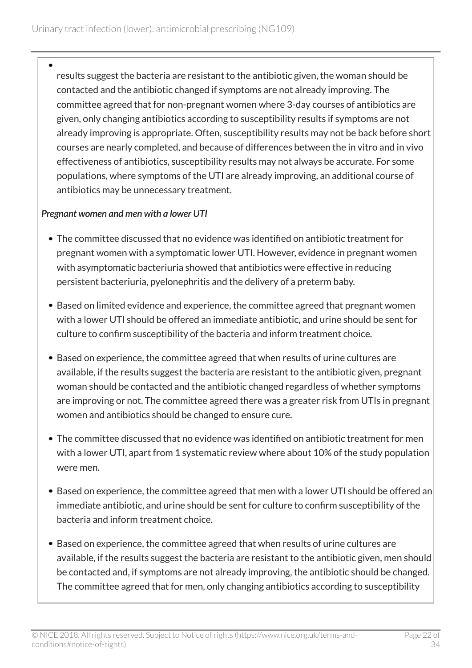results suggest the bacteria are resistant to the antibiotic given, the woman should be contacted and the antibiotic changed if symptoms are not already improving. The committee agreed that for non-pregnant women where 3-day courses of antibiotics are given, only changing antibiotics according to susceptibility results if symptoms are not already improving is appropriate. Often, susceptibility results may not be back before short courses are nearly completed, and because of differences between the in vitro and in vivo effectiveness of antibiotics, susceptibility results may not always be accurate. For some populations, where symptoms of the UTI are already improving, an additional course of antibiotics may be unnecessary treatment.

#### *Pregnant women and men with a lower UTI*

- The committee discussed that no evidence was identified on antibiotic treatment for pregnant women with a symptomatic lower UTI. However, evidence in pregnant women with asymptomatic bacteriuria showed that antibiotics were effective in reducing persistent bacteriuria, pyelonephritis and the delivery of a preterm baby.
- Based on limited evidence and experience, the committee agreed that pregnant women with a lower UTI should be offered an immediate antibiotic, and urine should be sent for culture to confirm susceptibility of the bacteria and inform treatment choice.
- Based on experience, the committee agreed that when results of urine cultures are available, if the results suggest the bacteria are resistant to the antibiotic given, pregnant woman should be contacted and the antibiotic changed regardless of whether symptoms are improving or not. The committee agreed there was a greater risk from UTIs in pregnant women and antibiotics should be changed to ensure cure.
- The committee discussed that no evidence was identified on antibiotic treatment for men with a lower UTI, apart from 1 systematic review where about 10% of the study population were men.
- Based on experience, the committee agreed that men with a lower UTI should be offered an immediate antibiotic, and urine should be sent for culture to confirm susceptibility of the bacteria and inform treatment choice.
- Based on experience, the committee agreed that when results of urine cultures are available, if the results suggest the bacteria are resistant to the antibiotic given, men should be contacted and, if symptoms are not already improving, the antibiotic should be changed. The committee agreed that for men, only changing antibiotics according to susceptibility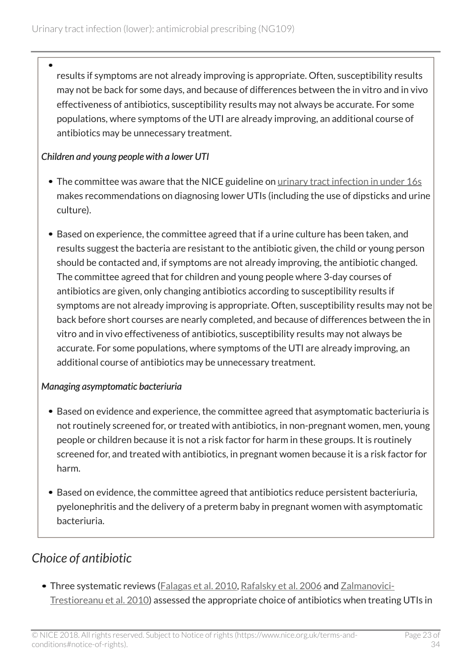results if symptoms are not already improving is appropriate. Often, susceptibility results may not be back for some days, and because of differences between the in vitro and in vivo effectiveness of antibiotics, susceptibility results may not always be accurate. For some populations, where symptoms of the UTI are already improving, an additional course of antibiotics may be unnecessary treatment.

#### *Children and young people with a lower UTI*

- The committee was aware that the NICE guideline on [urinary tract infection in under 16s](http://www.nice.org.uk/guidance/cg54) makes recommendations on diagnosing lower UTIs (including the use of dipsticks and urine culture).
- Based on experience, the committee agreed that if a urine culture has been taken, and results suggest the bacteria are resistant to the antibiotic given, the child or young person should be contacted and, if symptoms are not already improving, the antibiotic changed. The committee agreed that for children and young people where 3-day courses of antibiotics are given, only changing antibiotics according to susceptibility results if symptoms are not already improving is appropriate. Often, susceptibility results may not be back before short courses are nearly completed, and because of differences between the in vitro and in vivo effectiveness of antibiotics, susceptibility results may not always be accurate. For some populations, where symptoms of the UTI are already improving, an additional course of antibiotics may be unnecessary treatment.

#### *Managing asymptomatic bacteriuria*

- Based on evidence and experience, the committee agreed that asymptomatic bacteriuria is not routinely screened for, or treated with antibiotics, in non-pregnant women, men, young people or children because it is not a risk factor for harm in these groups. It is routinely screened for, and treated with antibiotics, in pregnant women because it is a risk factor for harm.
- Based on evidence, the committee agreed that antibiotics reduce persistent bacteriuria, pyelonephritis and the delivery of a preterm baby in pregnant women with asymptomatic bacteriuria.

### <span id="page-22-0"></span>*Choice of antibiotic*

• Three systematic reviews [\(Falagas et al. 2010](https://www.ncbi.nlm.nih.gov/pubmed/?term=Fosfomycin+versus+other+antibiotics+for+the+treatment+of+cystitis%3A+a+meta-analysis+of+randomized+controlled+trials), [Rafalsky et al. 2006](https://www.ncbi.nlm.nih.gov/pubmed/?term=Quinolones+for+uncomplicated+acute+cystitis+in+women+rafalsky) and [Zalmanovici-](https://www.ncbi.nlm.nih.gov/pubmed/20927755)[Trestioreanu et al. 2010\)](https://www.ncbi.nlm.nih.gov/pubmed/20927755) assessed the appropriate choice of antibiotics when treating UTIs in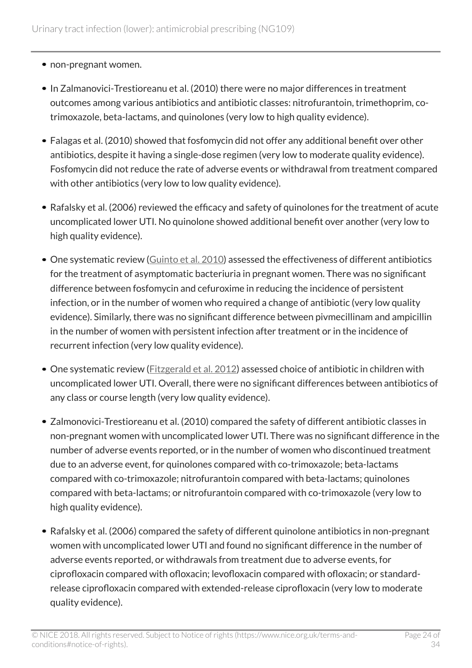- non-pregnant women.
- In Zalmanovici-Trestioreanu et al. (2010) there were no major differences in treatment outcomes among various antibiotics and antibiotic classes: nitrofurantoin, trimethoprim, cotrimoxazole, beta-lactams, and quinolones (very low to high quality evidence).
- Falagas et al. (2010) showed that fosfomycin did not offer any additional benefit over other antibiotics, despite it having a single-dose regimen (very low to moderate quality evidence). Fosfomycin did not reduce the rate of adverse events or withdrawal from treatment compared with other antibiotics (very low to low quality evidence).
- Rafalsky et al. (2006) reviewed the efficacy and safety of quinolones for the treatment of acute uncomplicated lower UTI. No quinolone showed additional benefit over another (very low to high quality evidence).
- One systematic review [\(Guinto et al. 2010](https://www.ncbi.nlm.nih.gov/pubmed/20824868)) assessed the effectiveness of different antibiotics for the treatment of asymptomatic bacteriuria in pregnant women. There was no significant difference between fosfomycin and cefuroxime in reducing the incidence of persistent infection, or in the number of women who required a change of antibiotic (very low quality evidence). Similarly, there was no significant difference between pivmecillinam and ampicillin in the number of women with persistent infection after treatment or in the incidence of recurrent infection (very low quality evidence).
- One systematic review [\(Fitzgerald et al. 2012\)](https://www.ncbi.nlm.nih.gov/pubmed/22895956) assessed choice of antibiotic in children with uncomplicated lower UTI. Overall, there were no significant differences between antibiotics of any class or course length (very low quality evidence).
- Zalmonovici-Trestioreanu et al. (2010) compared the safety of different antibiotic classes in non-pregnant women with uncomplicated lower UTI. There was no significant difference in the number of adverse events reported, or in the number of women who discontinued treatment due to an adverse event, for quinolones compared with co-trimoxazole; beta-lactams compared with co-trimoxazole; nitrofurantoin compared with beta-lactams; quinolones compared with beta-lactams; or nitrofurantoin compared with co-trimoxazole (very low to high quality evidence).
- Rafalsky et al. (2006) compared the safety of different quinolone antibiotics in non-pregnant women with uncomplicated lower UTI and found no significant difference in the number of adverse events reported, or withdrawals from treatment due to adverse events, for ciprofloxacin compared with ofloxacin; levofloxacin compared with ofloxacin; or standardrelease ciprofloxacin compared with extended-release ciprofloxacin (very low to moderate quality evidence).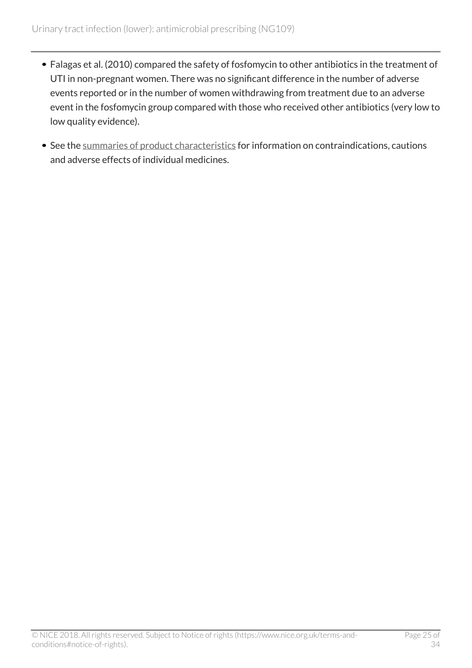- Falagas et al. (2010) compared the safety of fosfomycin to other antibiotics in the treatment of UTI in non-pregnant women. There was no significant difference in the number of adverse events reported or in the number of women withdrawing from treatment due to an adverse event in the fosfomycin group compared with those who received other antibiotics (very low to low quality evidence).
- See the [summaries of product characteristics](http://www.medicines.org.uk/) for information on contraindications, cautions and adverse effects of individual medicines.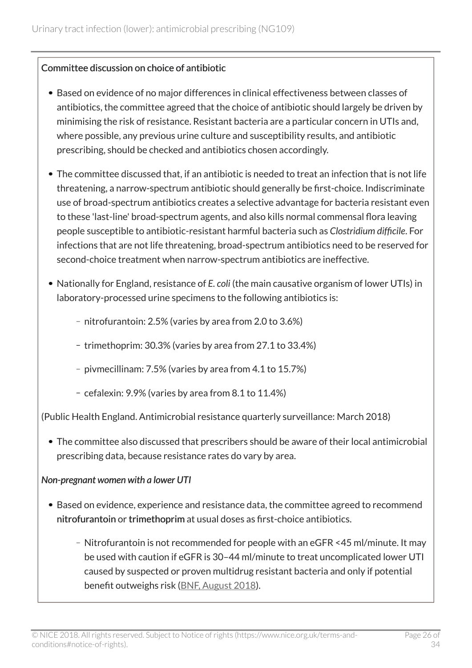#### Committee discussion on choice of antibiotic

- Based on evidence of no major differences in clinical effectiveness between classes of antibiotics, the committee agreed that the choice of antibiotic should largely be driven by minimising the risk of resistance. Resistant bacteria are a particular concern in UTIs and, where possible, any previous urine culture and susceptibility results, and antibiotic prescribing, should be checked and antibiotics chosen accordingly.
- The committee discussed that, if an antibiotic is needed to treat an infection that is not life threatening, a narrow-spectrum antibiotic should generally be first-choice. Indiscriminate use of broad-spectrum antibiotics creates a selective advantage for bacteria resistant even to these 'last-line' broad-spectrum agents, and also kills normal commensal flora leaving people susceptible to antibiotic-resistant harmful bacteria such as *Clostridium difficile*. For infections that are not life threatening, broad-spectrum antibiotics need to be reserved for second-choice treatment when narrow-spectrum antibiotics are ineffective.
- Nationally for England, resistance of *E. coli* (the main causative organism of lower UTIs) in laboratory-processed urine specimens to the following antibiotics is:
	- nitrofurantoin: 2.5% (varies by area from 2.0 to 3.6%)
	- trimethoprim: 30.3% (varies by area from 27.1 to 33.4%)
	- pivmecillinam: 7.5% (varies by area from 4.1 to 15.7%)
	- cefalexin:  $9.9\%$  (varies by area from  $8.1$  to  $11.4\%$ )

(Public Health England. Antimicrobial resistance quarterly surveillance: March 2018)

The committee also discussed that prescribers should be aware of their local antimicrobial prescribing data, because resistance rates do vary by area.

#### *Non-pregnant women with a lower UTI*

- Based on evidence, experience and resistance data, the committee agreed to recommend nitrofurantoin or trimethoprim at usual doses as first-choice antibiotics.
	- Nitrofurantoin is not recommended for people with an eGFR <45 ml/minute. It may be used with caution if eGFR is 30–44 ml/minute to treat uncomplicated lower UTI caused by suspected or proven multidrug resistant bacteria and only if potential benefit outweighs risk ([BNF, August 2018\)](https://bnf.nice.org.uk/drug/nitrofurantoin.html).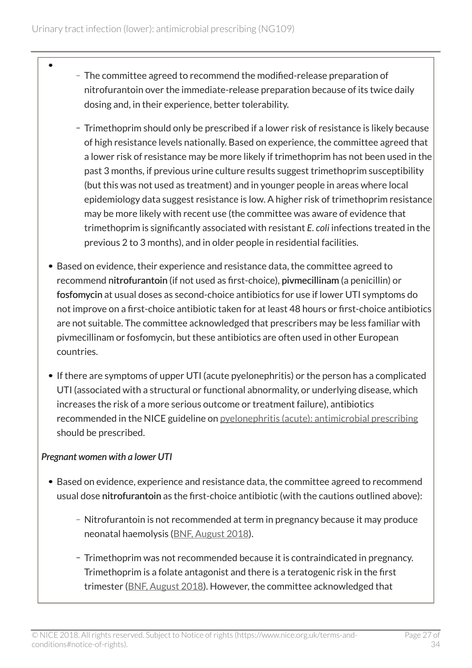- The committee agreed to recommend the modified-release preparation of nitrofurantoin over the immediate-release preparation because of its twice daily dosing and, in their experience, better tolerability.
	- Trimethoprim should only be prescribed if a lower risk of resistance is likely because of high resistance levels nationally. Based on experience, the committee agreed that a lower risk of resistance may be more likely if trimethoprim has not been used in the past 3 months, if previous urine culture results suggest trimethoprim susceptibility (but this was not used as treatment) and in younger people in areas where local epidemiology data suggest resistance is low. A higher risk of trimethoprim resistance may be more likely with recent use (the committee was aware of evidence that trimethoprim is significantly associated with resistant *E. coli* infections treated in the previous 2 to 3 months), and in older people in residential facilities.
- Based on evidence, their experience and resistance data, the committee agreed to recommend nitrofurantoin (if not used as first-choice), pivmecillinam (a penicillin) or fosfomycin at usual doses as second-choice antibiotics for use if lower UTI symptoms do not improve on a first-choice antibiotic taken for at least 48 hours or first-choice antibiotics are not suitable. The committee acknowledged that prescribers may be less familiar with pivmecillinam or fosfomycin, but these antibiotics are often used in other European countries.
- If there are symptoms of upper UTI (acute pyelonephritis) or the person has a complicated UTI (associated with a structural or functional abnormality, or underlying disease, which increases the risk of a more serious outcome or treatment failure), antibiotics recommended in the NICE guideline on [pyelonephritis \(acute\): antimicrobial prescribing](http://www.nice.org.uk/guidance/ng111) should be prescribed.

#### *Pregnant women with a lower UTI*

- Based on evidence, experience and resistance data, the committee agreed to recommend usual dose nitrofurantoin as the first-choice antibiotic (with the cautions outlined above):
	- Nitrofurantoin is not recommended at term in pregnancy because it may produce neonatal haemolysis ([BNF, August 2018\)](https://bnf.nice.org.uk/drug/nitrofurantoin.html).
	- Trimethoprim was not recommended because it is contraindicated in pregnancy. Trimethoprim is a folate antagonist and there is a teratogenic risk in the first trimester ([BNF, August 2018](https://bnf.nice.org.uk/drug/trimethoprim.html)). However, the committee acknowledged that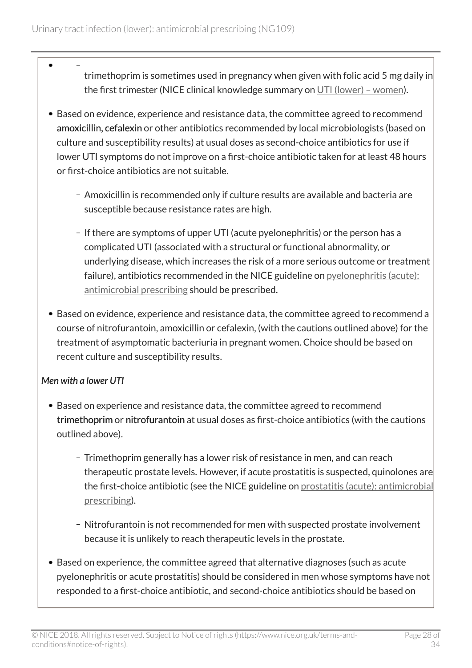- trimethoprim is sometimes used in pregnancy when given with folic acid 5 mg daily in the first trimester (NICE clinical knowledge summary on [UTI \(lower\) – women](https://cks.nice.org.uk/urinary-tract-infection-lower-women)).
- Based on evidence, experience and resistance data, the committee agreed to recommend amoxicillin, cefalexin or other antibiotics recommended by local microbiologists (based on culture and susceptibility results) at usual doses as second-choice antibiotics for use if lower UTI symptoms do not improve on a first-choice antibiotic taken for at least 48 hours or first-choice antibiotics are not suitable.
	- Amoxicillin is recommended only if culture results are available and bacteria are susceptible because resistance rates are high.
	- If there are symptoms of upper UTI (acute pyelonephritis) or the person has a complicated UTI (associated with a structural or functional abnormality, or underlying disease, which increases the risk of a more serious outcome or treatment failure), antibiotics recommended in the NICE guideline on [pyelonephritis \(acute\):](http://www.nice.org.uk/guidance/ng111) [antimicrobial prescribing](http://www.nice.org.uk/guidance/ng111) should be prescribed.
- Based on evidence, experience and resistance data, the committee agreed to recommend a course of nitrofurantoin, amoxicillin or cefalexin, (with the cautions outlined above) for the treatment of asymptomatic bacteriuria in pregnant women. Choice should be based on recent culture and susceptibility results.

#### *Men with a lower UTI*

- Based on experience and resistance data, the committee agreed to recommend trimethoprim or nitrofurantoin at usual doses as first-choice antibiotics (with the cautions outlined above).
	- Trimethoprim generally has a lower risk of resistance in men, and can reach therapeutic prostate levels. However, if acute prostatitis is suspected, quinolones are the first-choice antibiotic (see the NICE guideline on [prostatitis \(acute\): antimicrobial](http://www.nice.org.uk/guidance/ng110) [prescribing](http://www.nice.org.uk/guidance/ng110)).
	- Nitrofurantoin is not recommended for men with suspected prostate involvement because it is unlikely to reach therapeutic levels in the prostate.
- Based on experience, the committee agreed that alternative diagnoses (such as acute pyelonephritis or acute prostatitis) should be considered in men whose symptoms have not responded to a first-choice antibiotic, and second-choice antibiotics should be based on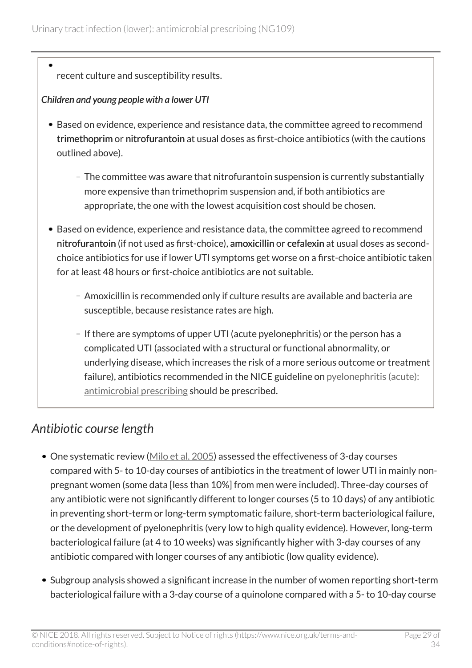### recent culture and susceptibility results.

#### *Children and young people with a lower UTI*

- Based on evidence, experience and resistance data, the committee agreed to recommend trimethoprim or nitrofurantoin at usual doses as first-choice antibiotics (with the cautions outlined above).
	- The committee was aware that nitrofurantoin suspension is currently substantially more expensive than trimethoprim suspension and, if both antibiotics are appropriate, the one with the lowest acquisition cost should be chosen.
- Based on evidence, experience and resistance data, the committee agreed to recommend nitrofurantoin (if not used as first-choice), amoxicillin or cefalexin at usual doses as secondchoice antibiotics for use if lower UTI symptoms get worse on a first-choice antibiotic taken for at least 48 hours or first-choice antibiotics are not suitable.
	- Amoxicillin is recommended only if culture results are available and bacteria are susceptible, because resistance rates are high.
	- If there are symptoms of upper UTI (acute pyelonephritis) or the person has a complicated UTI (associated with a structural or functional abnormality, or underlying disease, which increases the risk of a more serious outcome or treatment failure), antibiotics recommended in the NICE guideline on [pyelonephritis \(acute\):](http://www.nice.org.uk/guidance/ng111) [antimicrobial prescribing](http://www.nice.org.uk/guidance/ng111) should be prescribed.

### <span id="page-28-0"></span>*Antibiotic course length*

- One systematic review [\(Milo et al. 2005\)](https://www.ncbi.nlm.nih.gov/pubmed/15846726) assessed the effectiveness of 3-day courses compared with 5- to 10-day courses of antibiotics in the treatment of lower UTI in mainly nonpregnant women (some data [less than 10%] from men were included). Three-day courses of any antibiotic were not significantly different to longer courses (5 to 10 days) of any antibiotic in preventing short-term or long-term symptomatic failure, short-term bacteriological failure, or the development of pyelonephritis (very low to high quality evidence). However, long-term bacteriological failure (at 4 to 10 weeks) was significantly higher with 3-day courses of any antibiotic compared with longer courses of any antibiotic (low quality evidence).
- Subgroup analysis showed a significant increase in the number of women reporting short-term bacteriological failure with a 3-day course of a quinolone compared with a 5- to 10-day course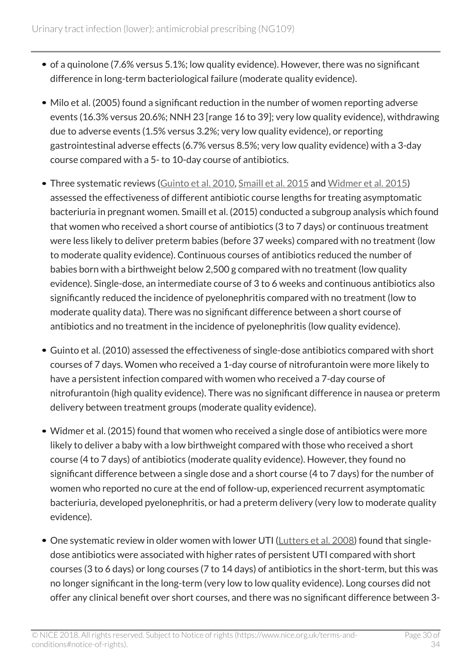- of a quinolone (7.6% versus 5.1%; low quality evidence). However, there was no significant difference in long-term bacteriological failure (moderate quality evidence).
- Milo et al. (2005) found a significant reduction in the number of women reporting adverse events (16.3% versus 20.6%; NNH 23 [range 16 to 39]; very low quality evidence), withdrawing due to adverse events (1.5% versus 3.2%; very low quality evidence), or reporting gastrointestinal adverse effects (6.7% versus 8.5%; very low quality evidence) with a 3-day course compared with a 5- to 10-day course of antibiotics.
- Three systematic reviews [\(Guinto et al. 2010,](https://www.ncbi.nlm.nih.gov/pubmed/20824868) [Smaill et al. 2015](https://www.ncbi.nlm.nih.gov/pubmed/26252501) and [Widmer et al. 2015\)](https://www.ncbi.nlm.nih.gov/pubmed/26560337) assessed the effectiveness of different antibiotic course lengths for treating asymptomatic bacteriuria in pregnant women. Smaill et al. (2015) conducted a subgroup analysis which found that women who received a short course of antibiotics (3 to 7 days) or continuous treatment were less likely to deliver preterm babies (before 37 weeks) compared with no treatment (low to moderate quality evidence). Continuous courses of antibiotics reduced the number of babies born with a birthweight below 2,500 g compared with no treatment (low quality evidence). Single-dose, an intermediate course of 3 to 6 weeks and continuous antibiotics also significantly reduced the incidence of pyelonephritis compared with no treatment (low to moderate quality data). There was no significant difference between a short course of antibiotics and no treatment in the incidence of pyelonephritis (low quality evidence).
- Guinto et al. (2010) assessed the effectiveness of single-dose antibiotics compared with short courses of 7 days. Women who received a 1-day course of nitrofurantoin were more likely to have a persistent infection compared with women who received a 7-day course of nitrofurantoin (high quality evidence). There was no significant difference in nausea or preterm delivery between treatment groups (moderate quality evidence).
- Widmer et al. (2015) found that women who received a single dose of antibiotics were more likely to deliver a baby with a low birthweight compared with those who received a short course (4 to 7 days) of antibiotics (moderate quality evidence). However, they found no significant difference between a single dose and a short course (4 to 7 days) for the number of women who reported no cure at the end of follow-up, experienced recurrent asymptomatic bacteriuria, developed pyelonephritis, or had a preterm delivery (very low to moderate quality evidence).
- One systematic review in older women with lower UTI [\(Lutters et al. 2008\)](https://www.ncbi.nlm.nih.gov/pubmed/18646074) found that singledose antibiotics were associated with higher rates of persistent UTI compared with short courses (3 to 6 days) or long courses (7 to 14 days) of antibiotics in the short-term, but this was no longer significant in the long-term (very low to low quality evidence). Long courses did not offer any clinical benefit over short courses, and there was no significant difference between 3-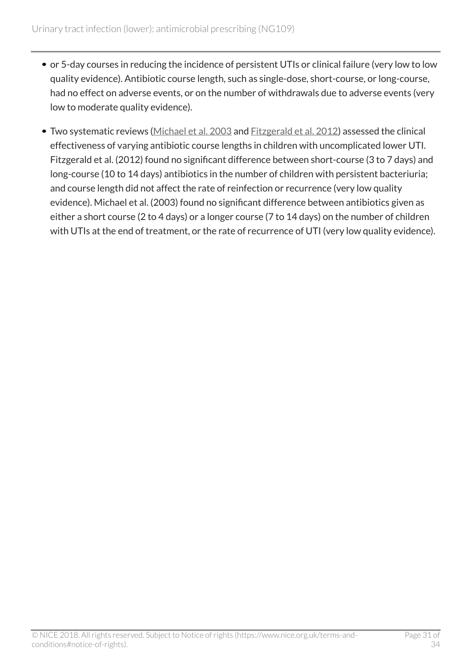- or 5-day courses in reducing the incidence of persistent UTIs or clinical failure (very low to low quality evidence). Antibiotic course length, such as single-dose, short-course, or long-course, had no effect on adverse events, or on the number of withdrawals due to adverse events (very low to moderate quality evidence).
- Two systematic reviews [\(Michael et al. 2003](https://www.ncbi.nlm.nih.gov/pubmed/?term=Short+versus+standard+duration+oral+antibiotic+therapy+for+acute+urinary+tract+infection+in+children) and [Fitzgerald et al. 2012](https://www.ncbi.nlm.nih.gov/pubmed/22895956)) assessed the clinical effectiveness of varying antibiotic course lengths in children with uncomplicated lower UTI. Fitzgerald et al. (2012) found no significant difference between short-course (3 to 7 days) and long-course (10 to 14 days) antibiotics in the number of children with persistent bacteriuria; and course length did not affect the rate of reinfection or recurrence (very low quality evidence). Michael et al. (2003) found no significant difference between antibiotics given as either a short course (2 to 4 days) or a longer course (7 to 14 days) on the number of children with UTIs at the end of treatment, or the rate of recurrence of UTI (very low quality evidence).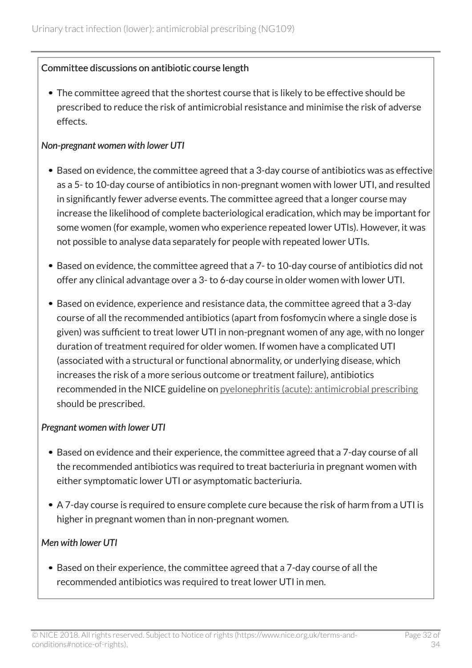#### Committee discussions on antibiotic course length

• The committee agreed that the shortest course that is likely to be effective should be prescribed to reduce the risk of antimicrobial resistance and minimise the risk of adverse effects.

#### *Non-pregnant women with lower UTI*

- Based on evidence, the committee agreed that a 3-day course of antibiotics was as effective as a 5- to 10-day course of antibiotics in non-pregnant women with lower UTI, and resulted in significantly fewer adverse events. The committee agreed that a longer course may increase the likelihood of complete bacteriological eradication, which may be important for some women (for example, women who experience repeated lower UTIs). However, it was not possible to analyse data separately for people with repeated lower UTIs.
- Based on evidence, the committee agreed that a 7- to 10-day course of antibiotics did not offer any clinical advantage over a 3- to 6-day course in older women with lower UTI.
- Based on evidence, experience and resistance data, the committee agreed that a 3-day course of all the recommended antibiotics (apart from fosfomycin where a single dose is given) was sufficient to treat lower UTI in non-pregnant women of any age, with no longer duration of treatment required for older women. If women have a complicated UTI (associated with a structural or functional abnormality, or underlying disease, which increases the risk of a more serious outcome or treatment failure), antibiotics recommended in the NICE guideline on [pyelonephritis \(acute\): antimicrobial prescribing](http://www.nice.org.uk/guidance/ng111) should be prescribed.

#### *Pregnant women with lower UTI*

- Based on evidence and their experience, the committee agreed that a 7-day course of all the recommended antibiotics was required to treat bacteriuria in pregnant women with either symptomatic lower UTI or asymptomatic bacteriuria.
- A 7-day course is required to ensure complete cure because the risk of harm from a UTI is higher in pregnant women than in non-pregnant women.

#### *Men with lower UTI*

Based on their experience, the committee agreed that a 7-day course of all the recommended antibiotics was required to treat lower UTI in men.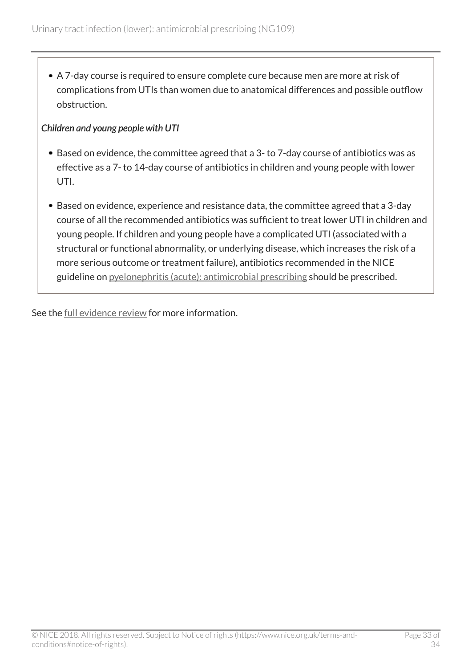A 7-day course is required to ensure complete cure because men are more at risk of complications from UTIs than women due to anatomical differences and possible outflow obstruction.

#### *Children and young people with UTI*

- Based on evidence, the committee agreed that a 3- to 7-day course of antibiotics was as effective as a 7- to 14-day course of antibiotics in children and young people with lower UTI.
- Based on evidence, experience and resistance data, the committee agreed that a 3-day course of all the recommended antibiotics was sufficient to treat lower UTI in children and young people. If children and young people have a complicated UTI (associated with a structural or functional abnormality, or underlying disease, which increases the risk of a more serious outcome or treatment failure), antibiotics recommended in the NICE guideline on [pyelonephritis \(acute\): antimicrobial prescribing](http://www.nice.org.uk/guidance/ng111) should be prescribed.

See the [full evidence review](https://www.nice.org.uk/guidance/ng109/evidence/evidence-review-pdf-6545836765) for more information.